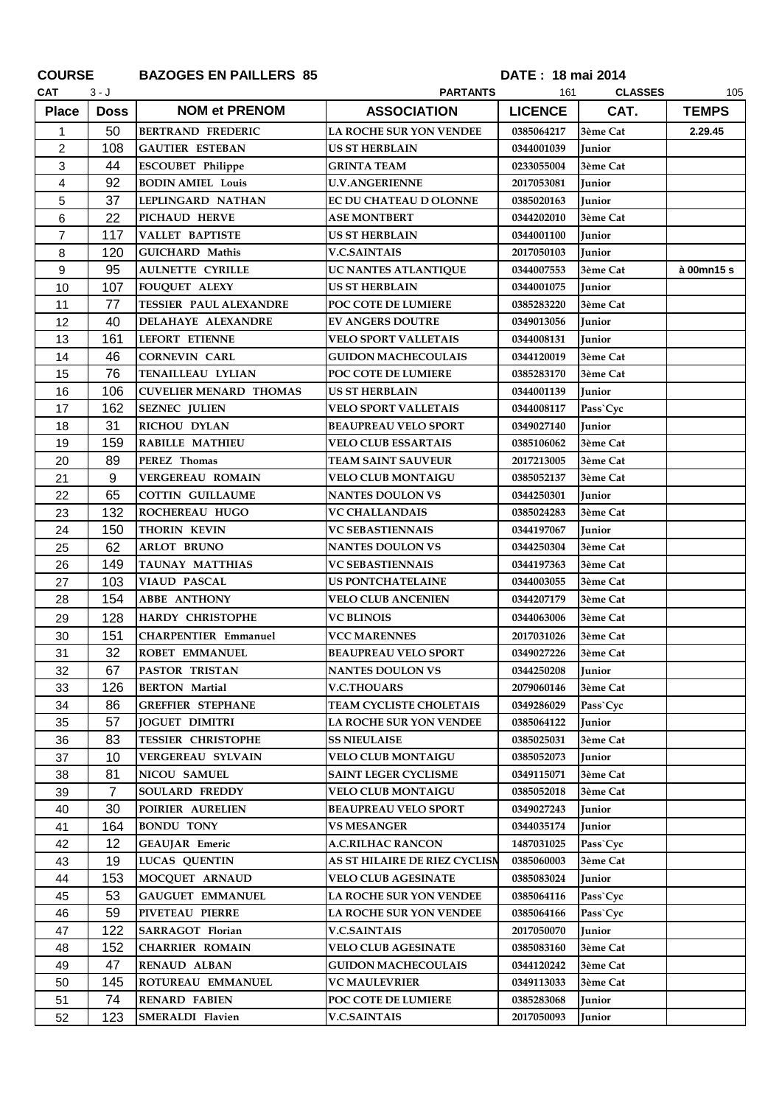| <b>COURSE</b>  |                | <b>BAZOGES EN PAILLERS 85</b> | DATE: 18 mai 2014              |                |                |              |
|----------------|----------------|-------------------------------|--------------------------------|----------------|----------------|--------------|
| <b>CAT</b>     | 3 - J          |                               | <b>PARTANTS</b>                | 161            | <b>CLASSES</b> | 105          |
| <b>Place</b>   | <b>Doss</b>    | <b>NOM et PRENOM</b>          | <b>ASSOCIATION</b>             | <b>LICENCE</b> | CAT.           | <b>TEMPS</b> |
| 1              | 50             | <b>BERTRAND FREDERIC</b>      | <b>LA ROCHE SUR YON VENDEE</b> | 0385064217     | 3ème Cat       | 2.29.45      |
| $\overline{c}$ | 108            | <b>GAUTIER ESTEBAN</b>        | <b>US ST HERBLAIN</b>          | 0344001039     | <b>Junior</b>  |              |
| 3              | 44             | <b>ESCOUBET Philippe</b>      | <b>GRINTA TEAM</b>             | 0233055004     | 3ème Cat       |              |
| 4              | 92             | <b>BODIN AMIEL Louis</b>      | <b>U.V.ANGERIENNE</b>          | 2017053081     | <b>Junior</b>  |              |
| 5              | 37             | LEPLINGARD NATHAN             | EC DU CHATEAU D OLONNE         | 0385020163     | <b>Junior</b>  |              |
| 6              | 22             | PICHAUD HERVE                 | <b>ASE MONTBERT</b>            | 0344202010     | 3ème Cat       |              |
| 7              | 117            | <b>VALLET BAPTISTE</b>        | <b>US ST HERBLAIN</b>          | 0344001100     | <b>Iunior</b>  |              |
| 8              | 120            | <b>GUICHARD Mathis</b>        | <b>V.C.SAINTAIS</b>            | 2017050103     | <b>Junior</b>  |              |
| 9              | 95             | <b>AULNETTE CYRILLE</b>       | UC NANTES ATLANTIQUE           | 0344007553     | 3ème Cat       | à 00mn15 s   |
| 10             | 107            | <b>FOUQUET ALEXY</b>          | <b>US ST HERBLAIN</b>          | 0344001075     | Junior         |              |
| 11             | 77             | <b>TESSIER PAUL ALEXANDRE</b> | POC COTE DE LUMIERE            | 0385283220     | 3ème Cat       |              |
| 12             | 40             | DELAHAYE ALEXANDRE            | <b>EV ANGERS DOUTRE</b>        | 0349013056     | Junior         |              |
| 13             | 161            | LEFORT ETIENNE                | <b>VELO SPORT VALLETAIS</b>    | 0344008131     | <b>Junior</b>  |              |
| 14             | 46             | <b>CORNEVIN CARL</b>          | <b>GUIDON MACHECOULAIS</b>     | 0344120019     | 3ème Cat       |              |
| 15             | 76             | TENAILLEAU LYLIAN             | <b>POC COTE DE LUMIERE</b>     | 0385283170     | 3ème Cat       |              |
| 16             | 106            | <b>CUVELIER MENARD THOMAS</b> | US ST HERBLAIN                 | 0344001139     | Junior         |              |
| 17             | 162            | <b>SEZNEC JULIEN</b>          | <b>VELO SPORT VALLETAIS</b>    | 0344008117     | Pass`Cyc       |              |
| 18             | 31             | <b>RICHOU DYLAN</b>           | <b>BEAUPREAU VELO SPORT</b>    | 0349027140     | <b>Junior</b>  |              |
| 19             | 159            | <b>RABILLE MATHIEU</b>        | <b>VELO CLUB ESSARTAIS</b>     | 0385106062     | 3ème Cat       |              |
| 20             | 89             | PEREZ Thomas                  | <b>TEAM SAINT SAUVEUR</b>      | 2017213005     | 3ème Cat       |              |
| 21             | 9              | <b>VERGEREAU ROMAIN</b>       | <b>VELO CLUB MONTAIGU</b>      | 0385052137     | 3ème Cat       |              |
| 22             | 65             | <b>COTTIN GUILLAUME</b>       | <b>NANTES DOULON VS</b>        | 0344250301     | <b>Junior</b>  |              |
| 23             | 132            | <b>ROCHEREAU HUGO</b>         | <b>VC CHALLANDAIS</b>          | 0385024283     | 3ème Cat       |              |
| 24             | 150            | <b>THORIN KEVIN</b>           | <b>VC SEBASTIENNAIS</b>        | 0344197067     | <b>Junior</b>  |              |
| 25             | 62             | <b>ARLOT BRUNO</b>            | <b>NANTES DOULON VS</b>        | 0344250304     | 3ème Cat       |              |
| 26             | 149            | <b>TAUNAY MATTHIAS</b>        | <b>VC SEBASTIENNAIS</b>        | 0344197363     | 3ème Cat       |              |
| 27             | 103            | <b>VIAUD PASCAL</b>           | <b>US PONTCHATELAINE</b>       | 0344003055     | 3ème Cat       |              |
| 28             | 154            | <b>ABBE ANTHONY</b>           | <b>VELO CLUB ANCENIEN</b>      | 0344207179     | 3ème Cat       |              |
| 29             | 128            | <b>HARDY CHRISTOPHE</b>       | <b>VC BLINOIS</b>              | 0344063006     | 3ème Cat       |              |
| 30             | 151            | <b>CHARPENTIER Emmanuel</b>   | VCC MARENNES                   | 2017031026     | 3ème Cat       |              |
| 31             | 32             | <b>ROBET EMMANUEL</b>         | <b>BEAUPREAU VELO SPORT</b>    | 0349027226     | 3ème Cat       |              |
| 32             | 67             | <b>PASTOR TRISTAN</b>         | <b>NANTES DOULON VS</b>        | 0344250208     | Junior         |              |
| 33             | 126            | <b>BERTON Martial</b>         | <b>V.C.THOUARS</b>             | 2079060146     | 3ème Cat       |              |
| 34             | 86             | <b>GREFFIER STEPHANE</b>      | <b>TEAM CYCLISTE CHOLETAIS</b> | 0349286029     | Pass`Cyc       |              |
| 35             | 57             | <b>JOGUET DIMITRI</b>         | <b>LA ROCHE SUR YON VENDEE</b> | 0385064122     | Junior         |              |
| 36             | 83             | <b>TESSIER CHRISTOPHE</b>     | <b>SS NIEULAISE</b>            | 0385025031     | 3ème Cat       |              |
| 37             | 10             | <b>VERGEREAU SYLVAIN</b>      | <b>VELO CLUB MONTAIGU</b>      | 0385052073     | Junior         |              |
| 38             | 81             | <b>NICOU SAMUEL</b>           | <b>SAINT LEGER CYCLISME</b>    | 0349115071     | 3ème Cat       |              |
| 39             | $\overline{7}$ | <b>SOULARD FREDDY</b>         | <b>VELO CLUB MONTAIGU</b>      | 0385052018     | 3ème Cat       |              |
| 40             | 30             | POIRIER AURELIEN              | <b>BEAUPREAU VELO SPORT</b>    | 0349027243     | Junior         |              |
| 41             | 164            | <b>BONDU TONY</b>             | <b>VS MESANGER</b>             | 0344035174     | Junior         |              |
| 42             | 12             | <b>GEAUJAR</b> Emeric         | <b>A.C.RILHAC RANCON</b>       | 1487031025     | Pass`Cyc       |              |
| 43             | 19             | <b>LUCAS QUENTIN</b>          | AS ST HILAIRE DE RIEZ CYCLISN  | 0385060003     | 3ème Cat       |              |
| 44             | 153            | MOCQUET ARNAUD                | <b>VELO CLUB AGESINATE</b>     | 0385083024     | Junior         |              |
| 45             | 53             | <b>GAUGUET EMMANUEL</b>       | <b>LA ROCHE SUR YON VENDEE</b> | 0385064116     | Pass`Cyc       |              |
| 46             | 59             | PIVETEAU PIERRE               | <b>LA ROCHE SUR YON VENDEE</b> | 0385064166     | Pass`Cyc       |              |
| 47             | 122            | <b>SARRAGOT Florian</b>       | <b>V.C.SAINTAIS</b>            | 2017050070     | Junior         |              |
| 48             | 152            | <b>CHARRIER ROMAIN</b>        | <b>VELO CLUB AGESINATE</b>     | 0385083160     | 3ème Cat       |              |
| 49             | 47             | <b>RENAUD ALBAN</b>           | <b>GUIDON MACHECOULAIS</b>     | 0344120242     | 3ème Cat       |              |
| 50             | 145            | ROTUREAU EMMANUEL             | <b>VC MAULEVRIER</b>           | 0349113033     | 3ème Cat       |              |
| 51             | 74             | <b>RENARD FABIEN</b>          | POC COTE DE LUMIERE            | 0385283068     | Junior         |              |
| 52             | 123            | <b>SMERALDI Flavien</b>       | <b>V.C.SAINTAIS</b>            | 2017050093     | Junior         |              |